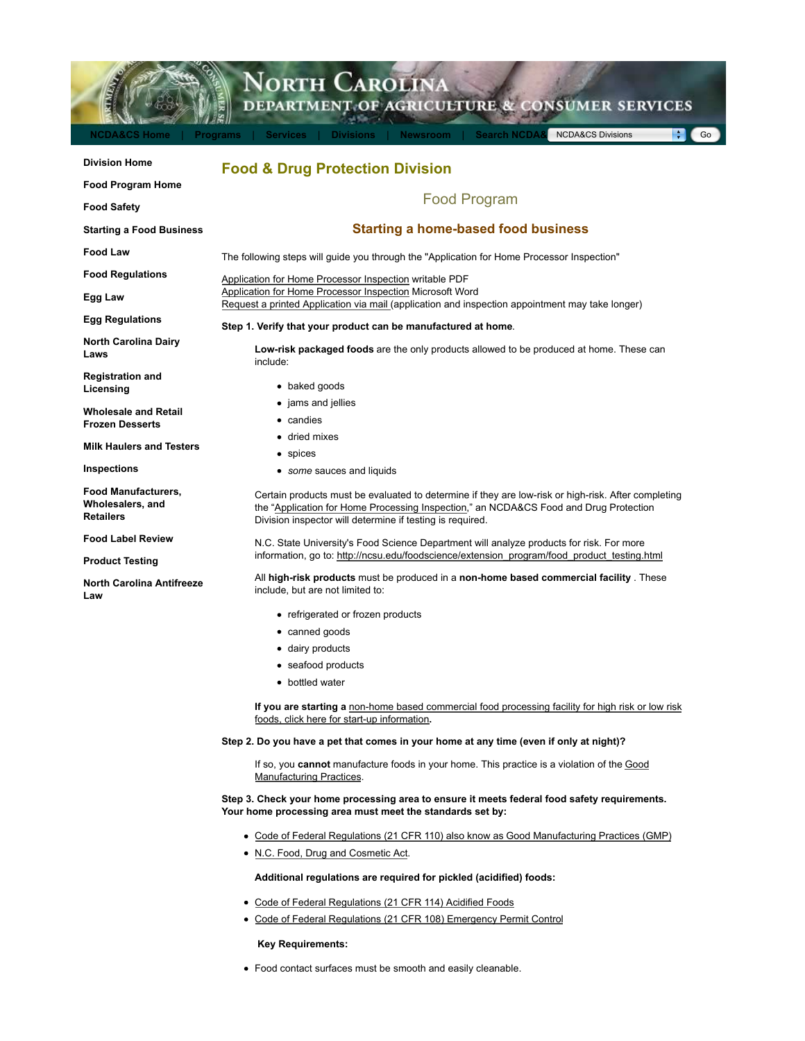

# **Step 3. Check your home processing area to ensure it meets federal food safety requirements. Your home processing area must meet the standards set by:**

- Code of Federal Regulations (21 CFR 110) also know as Good Manufacturing Practices (GMP)
- N.C. Food, Drug and Cosmetic Act.

#### **Additional regulations are required for pickled (acidified) foods:**

- Code of Federal Regulations (21 CFR 114) Acidified Foods
- Code of Federal Regulations (21 CFR 108) Emergency Permit Control

**Key Requirements:**

Food contact surfaces must be smooth and easily cleanable.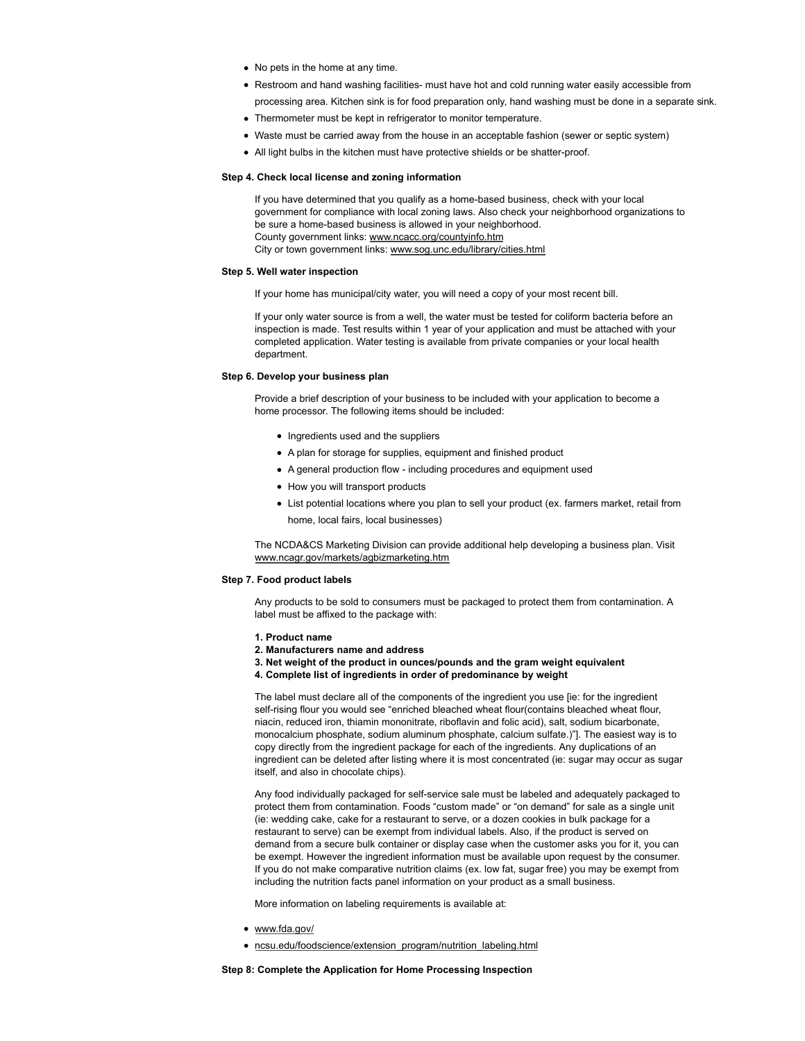- No pets in the home at any time.
- Restroom and hand washing facilities- must have hot and cold running water easily accessible from
- processing area. Kitchen sink is for food preparation only, hand washing must be done in a separate sink.
- Thermometer must be kept in refrigerator to monitor temperature.
- Waste must be carried away from the house in an acceptable fashion (sewer or septic system)
- All light bulbs in the kitchen must have protective shields or be shatter-proof.

#### **Step 4. Check local license and zoning information**

If you have determined that you qualify as a home-based business, check with your local government for compliance with local zoning laws. Also check your neighborhood organizations to be sure a home-based business is allowed in your neighborhood. County government links: www.ncacc.org/countyinfo.htm City or town government links: www.sog.unc.edu/library/cities.html

# **Step 5. Well water inspection**

If your home has municipal/city water, you will need a copy of your most recent bill.

If your only water source is from a well, the water must be tested for coliform bacteria before an inspection is made. Test results within 1 year of your application and must be attached with your completed application. Water testing is available from private companies or your local health department.

## **Step 6. Develop your business plan**

Provide a brief description of your business to be included with your application to become a home processor. The following items should be included:

- Ingredients used and the suppliers
- A plan for storage for supplies, equipment and finished product
- A general production flow including procedures and equipment used
- How you will transport products
- List potential locations where you plan to sell your product (ex. farmers market, retail from home, local fairs, local businesses)

The NCDA&CS Marketing Division can provide additional help developing a business plan. Visit www.ncagr.gov/markets/agbizmarketing.htm

### **Step 7. Food product labels**

Any products to be sold to consumers must be packaged to protect them from contamination. A label must be affixed to the package with:

- **1. Product name**
- **2. Manufacturers name and address**
- **3. Net weight of the product in ounces/pounds and the gram weight equivalent**
- **4. Complete list of ingredients in order of predominance by weight**

The label must declare all of the components of the ingredient you use [ie: for the ingredient self-rising flour you would see "enriched bleached wheat flour(contains bleached wheat flour, niacin, reduced iron, thiamin mononitrate, riboflavin and folic acid), salt, sodium bicarbonate, monocalcium phosphate, sodium aluminum phosphate, calcium sulfate.)"]. The easiest way is to copy directly from the ingredient package for each of the ingredients. Any duplications of an ingredient can be deleted after listing where it is most concentrated (ie: sugar may occur as sugar itself, and also in chocolate chips).

Any food individually packaged for self-service sale must be labeled and adequately packaged to protect them from contamination. Foods "custom made" or "on demand" for sale as a single unit (ie: wedding cake, cake for a restaurant to serve, or a dozen cookies in bulk package for a restaurant to serve) can be exempt from individual labels. Also, if the product is served on demand from a secure bulk container or display case when the customer asks you for it, you can be exempt. However the ingredient information must be available upon request by the consumer. If you do not make comparative nutrition claims (ex. low fat, sugar free) you may be exempt from including the nutrition facts panel information on your product as a small business.

More information on labeling requirements is available at:

- www.fda.gov/
- ncsu.edu/foodscience/extension\_program/nutrition\_labeling.html

### **Step 8: Complete the Application for Home Processing Inspection**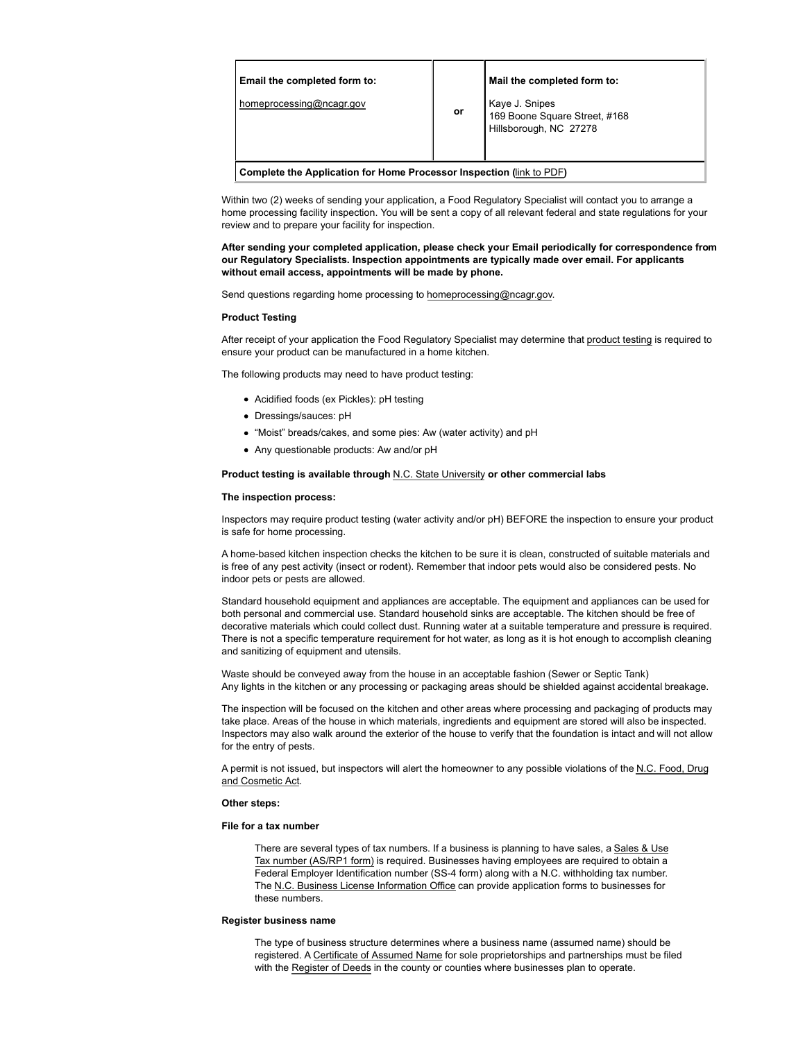| Email the completed form to:<br>homeprocessing@ncagr.gov             | or | Mail the completed form to:<br>Kaye J. Snipes<br>169 Boone Square Street, #168<br>Hillsborough, NC 27278 |
|----------------------------------------------------------------------|----|----------------------------------------------------------------------------------------------------------|
| Complete the Application for Home Processor Inspection (link to PDF) |    |                                                                                                          |

Within two (2) weeks of sending your application, a Food Regulatory Specialist will contact you to arrange a home processing facility inspection. You will be sent a copy of all relevant federal and state regulations for your review and to prepare your facility for inspection.

**After sending your completed application, please check your Email periodically for correspondence from our Regulatory Specialists. Inspection appointments are typically made over email. For applicants without email access, appointments will be made by phone.**

Send questions regarding home processing to homeprocessing@ncagr.gov.

### **Product Testing**

After receipt of your application the Food Regulatory Specialist may determine that product testing is required to ensure your product can be manufactured in a home kitchen.

The following products may need to have product testing:

- Acidified foods (ex Pickles): pH testing
- Dressings/sauces: pH
- "Moist" breads/cakes, and some pies: Aw (water activity) and pH
- Any questionable products: Aw and/or pH

## **Product testing is available through** N.C. State University **or other commercial labs**

## **The inspection process:**

Inspectors may require product testing (water activity and/or pH) BEFORE the inspection to ensure your product is safe for home processing.

A home-based kitchen inspection checks the kitchen to be sure it is clean, constructed of suitable materials and is free of any pest activity (insect or rodent). Remember that indoor pets would also be considered pests. No indoor pets or pests are allowed.

Standard household equipment and appliances are acceptable. The equipment and appliances can be used for both personal and commercial use. Standard household sinks are acceptable. The kitchen should be free of decorative materials which could collect dust. Running water at a suitable temperature and pressure is required. There is not a specific temperature requirement for hot water, as long as it is hot enough to accomplish cleaning and sanitizing of equipment and utensils.

Waste should be conveyed away from the house in an acceptable fashion (Sewer or Septic Tank) Any lights in the kitchen or any processing or packaging areas should be shielded against accidental breakage.

The inspection will be focused on the kitchen and other areas where processing and packaging of products may take place. Areas of the house in which materials, ingredients and equipment are stored will also be inspected. Inspectors may also walk around the exterior of the house to verify that the foundation is intact and will not allow for the entry of pests.

A permit is not issued, but inspectors will alert the homeowner to any possible violations of the N.C. Food, Drug and Cosmetic Act.

#### **Other steps:**

### **File for a tax number**

There are several types of tax numbers. If a business is planning to have sales, a Sales & Use Tax number (AS/RP1 form) is required. Businesses having employees are required to obtain a Federal Employer Identification number (SS-4 form) along with a N.C. withholding tax number. The N.C. Business License Information Office can provide application forms to businesses for these numbers.

## **Register business name**

The type of business structure determines where a business name (assumed name) should be registered. A Certificate of Assumed Name for sole proprietorships and partnerships must be filed with the Register of Deeds in the county or counties where businesses plan to operate.